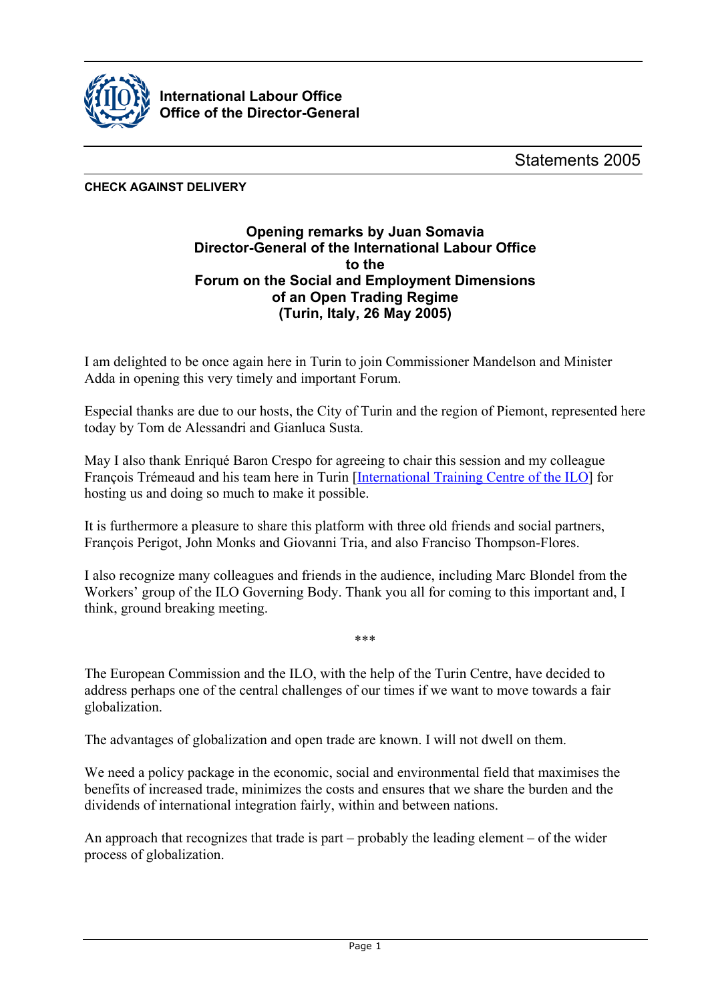

**International Labour Office Office of the Director-General**

**CHECK AGAINST DELIVERY**

## **Opening remarks by Juan Somavia Director-General of the International Labour Office to the Forum on the Social and Employment Dimensions of an Open Trading Regime (Turin, Italy, 26 May 2005)**

I am delighted to be once again here in Turin to join Commissioner Mandelson and Minister Adda in opening this very timely and important Forum.

Especial thanks are due to our hosts, the City of Turin and the region of Piemont, represented here today by Tom de Alessandri and Gianluca Susta.

May I also thank Enriqué Baron Crespo for agreeing to chair this session and my colleague François Trémeaud and his team here in Turin [\[International Training Centre of the ILO\]](http://www.itcilo.org) for hosting us and doing so much to make it possible.

It is furthermore a pleasure to share this platform with three old friends and social partners, François Perigot, John Monks and Giovanni Tria, and also Franciso Thompson-Flores.

I also recognize many colleagues and friends in the audience, including Marc Blondel from the Workers' group of the ILO Governing Body. Thank you all for coming to this important and, I think, ground breaking meeting.

\*\*\*

The European Commission and the ILO, with the help of the Turin Centre, have decided to address perhaps one of the central challenges of our times if we want to move towards a fair globalization.

The advantages of globalization and open trade are known. I will not dwell on them.

We need a policy package in the economic, social and environmental field that maximises the benefits of increased trade, minimizes the costs and ensures that we share the burden and the dividends of international integration fairly, within and between nations.

An approach that recognizes that trade is part – probably the leading element – of the wider process of globalization.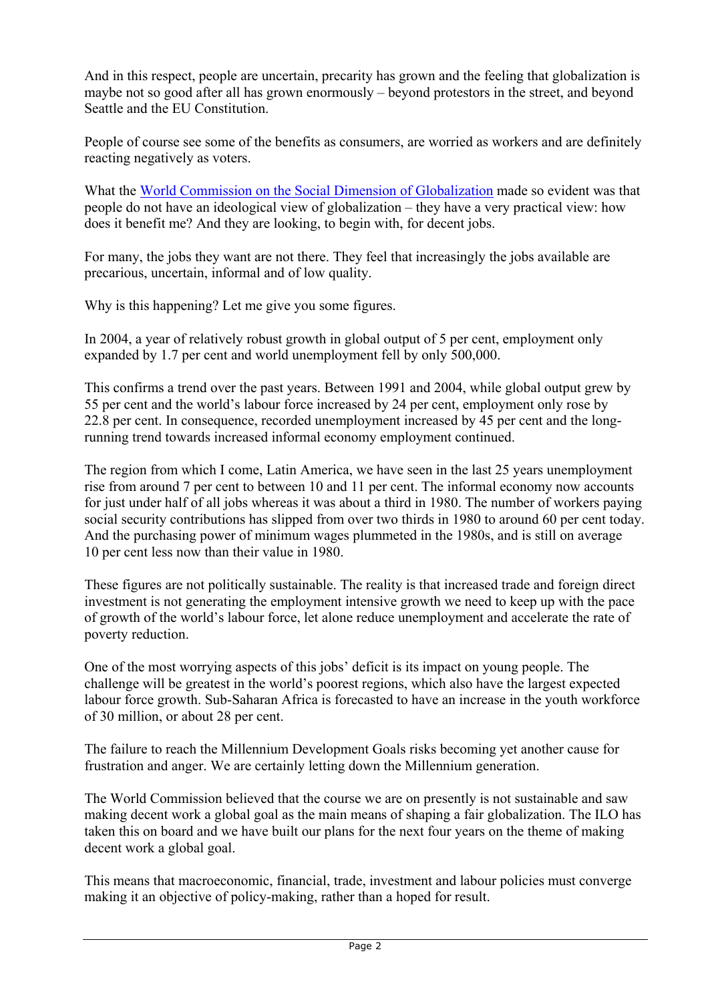And in this respect, people are uncertain, precarity has grown and the feeling that globalization is maybe not so good after all has grown enormously – beyond protestors in the street, and beyond Seattle and the EU Constitution.

People of course see some of the benefits as consumers, are worried as workers and are definitely reacting negatively as voters.

What the [World Commission on the Social Dimension of Globalization](http://www.ilo.org/public/english/fairglobalization/index.htm) made so evident was that people do not have an ideological view of globalization – they have a very practical view: how does it benefit me? And they are looking, to begin with, for decent jobs.

For many, the jobs they want are not there. They feel that increasingly the jobs available are precarious, uncertain, informal and of low quality.

Why is this happening? Let me give you some figures.

In 2004, a year of relatively robust growth in global output of 5 per cent, employment only expanded by 1.7 per cent and world unemployment fell by only 500,000.

This confirms a trend over the past years. Between 1991 and 2004, while global output grew by 55 per cent and the world's labour force increased by 24 per cent, employment only rose by 22.8 per cent. In consequence, recorded unemployment increased by 45 per cent and the longrunning trend towards increased informal economy employment continued.

The region from which I come, Latin America, we have seen in the last 25 years unemployment rise from around 7 per cent to between 10 and 11 per cent. The informal economy now accounts for just under half of all jobs whereas it was about a third in 1980. The number of workers paying social security contributions has slipped from over two thirds in 1980 to around 60 per cent today. And the purchasing power of minimum wages plummeted in the 1980s, and is still on average 10 per cent less now than their value in 1980.

These figures are not politically sustainable. The reality is that increased trade and foreign direct investment is not generating the employment intensive growth we need to keep up with the pace of growth of the world's labour force, let alone reduce unemployment and accelerate the rate of poverty reduction.

One of the most worrying aspects of this jobs' deficit is its impact on young people. The challenge will be greatest in the world's poorest regions, which also have the largest expected labour force growth. Sub-Saharan Africa is forecasted to have an increase in the youth workforce of 30 million, or about 28 per cent.

The failure to reach the Millennium Development Goals risks becoming yet another cause for frustration and anger. We are certainly letting down the Millennium generation.

The World Commission believed that the course we are on presently is not sustainable and saw making decent work a global goal as the main means of shaping a fair globalization. The ILO has taken this on board and we have built our plans for the next four years on the theme of making decent work a global goal.

This means that macroeconomic, financial, trade, investment and labour policies must converge making it an objective of policy-making, rather than a hoped for result.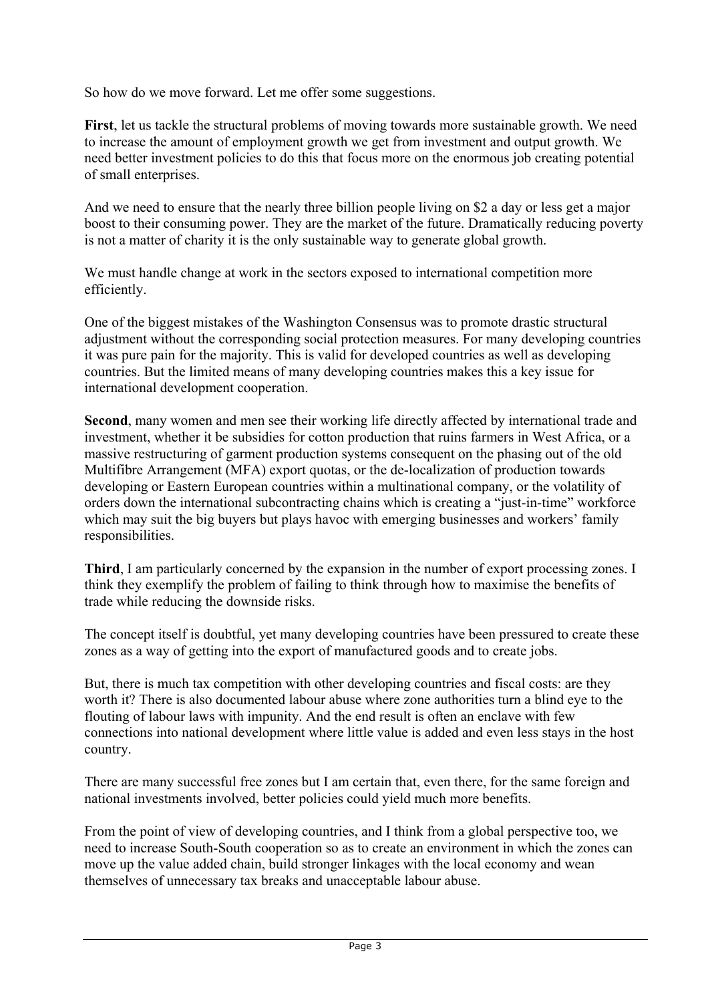So how do we move forward. Let me offer some suggestions.

**First**, let us tackle the structural problems of moving towards more sustainable growth. We need to increase the amount of employment growth we get from investment and output growth. We need better investment policies to do this that focus more on the enormous job creating potential of small enterprises.

And we need to ensure that the nearly three billion people living on \$2 a day or less get a major boost to their consuming power. They are the market of the future. Dramatically reducing poverty is not a matter of charity it is the only sustainable way to generate global growth.

We must handle change at work in the sectors exposed to international competition more efficiently.

One of the biggest mistakes of the Washington Consensus was to promote drastic structural adjustment without the corresponding social protection measures. For many developing countries it was pure pain for the majority. This is valid for developed countries as well as developing countries. But the limited means of many developing countries makes this a key issue for international development cooperation.

**Second**, many women and men see their working life directly affected by international trade and investment, whether it be subsidies for cotton production that ruins farmers in West Africa, or a massive restructuring of garment production systems consequent on the phasing out of the old Multifibre Arrangement (MFA) export quotas, or the de-localization of production towards developing or Eastern European countries within a multinational company, or the volatility of orders down the international subcontracting chains which is creating a "just-in-time" workforce which may suit the big buyers but plays havoc with emerging businesses and workers' family responsibilities.

**Third**, I am particularly concerned by the expansion in the number of export processing zones. I think they exemplify the problem of failing to think through how to maximise the benefits of trade while reducing the downside risks.

The concept itself is doubtful, yet many developing countries have been pressured to create these zones as a way of getting into the export of manufactured goods and to create jobs.

But, there is much tax competition with other developing countries and fiscal costs: are they worth it? There is also documented labour abuse where zone authorities turn a blind eye to the flouting of labour laws with impunity. And the end result is often an enclave with few connections into national development where little value is added and even less stays in the host country.

There are many successful free zones but I am certain that, even there, for the same foreign and national investments involved, better policies could yield much more benefits.

From the point of view of developing countries, and I think from a global perspective too, we need to increase South-South cooperation so as to create an environment in which the zones can move up the value added chain, build stronger linkages with the local economy and wean themselves of unnecessary tax breaks and unacceptable labour abuse.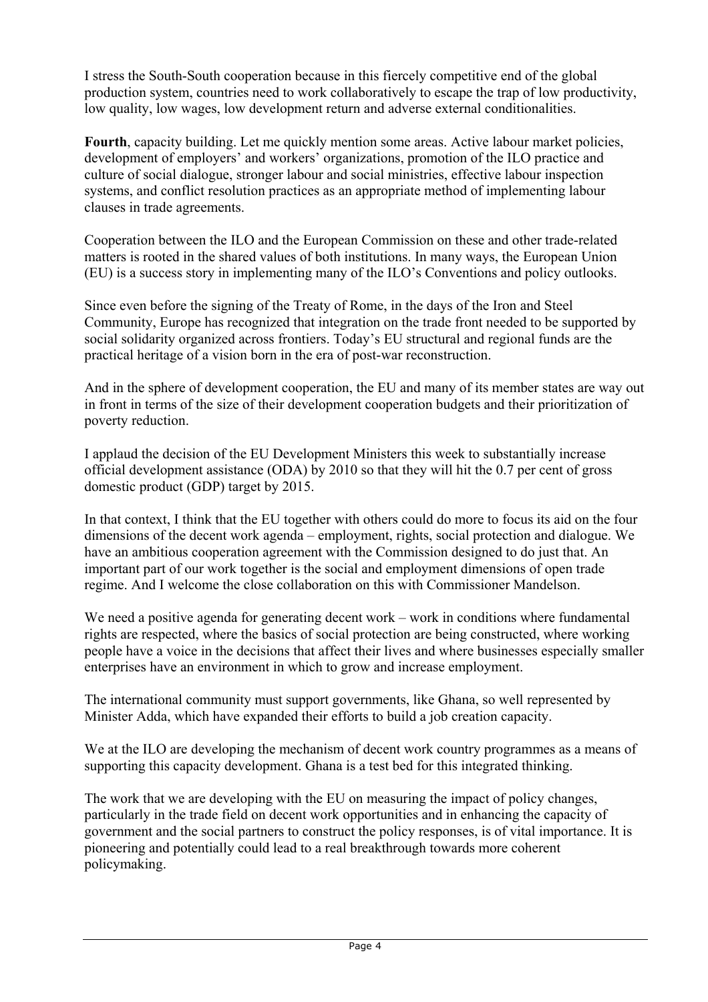I stress the South-South cooperation because in this fiercely competitive end of the global production system, countries need to work collaboratively to escape the trap of low productivity, low quality, low wages, low development return and adverse external conditionalities.

**Fourth**, capacity building. Let me quickly mention some areas. Active labour market policies, development of employers' and workers' organizations, promotion of the ILO practice and culture of social dialogue, stronger labour and social ministries, effective labour inspection systems, and conflict resolution practices as an appropriate method of implementing labour clauses in trade agreements.

Cooperation between the ILO and the European Commission on these and other trade-related matters is rooted in the shared values of both institutions. In many ways, the European Union (EU) is a success story in implementing many of the ILO's Conventions and policy outlooks.

Since even before the signing of the Treaty of Rome, in the days of the Iron and Steel Community, Europe has recognized that integration on the trade front needed to be supported by social solidarity organized across frontiers. Today's EU structural and regional funds are the practical heritage of a vision born in the era of post-war reconstruction.

And in the sphere of development cooperation, the EU and many of its member states are way out in front in terms of the size of their development cooperation budgets and their prioritization of poverty reduction.

I applaud the decision of the EU Development Ministers this week to substantially increase official development assistance (ODA) by 2010 so that they will hit the 0.7 per cent of gross domestic product (GDP) target by 2015.

In that context, I think that the EU together with others could do more to focus its aid on the four dimensions of the decent work agenda – employment, rights, social protection and dialogue. We have an ambitious cooperation agreement with the Commission designed to do just that. An important part of our work together is the social and employment dimensions of open trade regime. And I welcome the close collaboration on this with Commissioner Mandelson.

We need a positive agenda for generating decent work – work in conditions where fundamental rights are respected, where the basics of social protection are being constructed, where working people have a voice in the decisions that affect their lives and where businesses especially smaller enterprises have an environment in which to grow and increase employment.

The international community must support governments, like Ghana, so well represented by Minister Adda, which have expanded their efforts to build a job creation capacity.

We at the ILO are developing the mechanism of decent work country programmes as a means of supporting this capacity development. Ghana is a test bed for this integrated thinking.

The work that we are developing with the EU on measuring the impact of policy changes, particularly in the trade field on decent work opportunities and in enhancing the capacity of government and the social partners to construct the policy responses, is of vital importance. It is pioneering and potentially could lead to a real breakthrough towards more coherent policymaking.